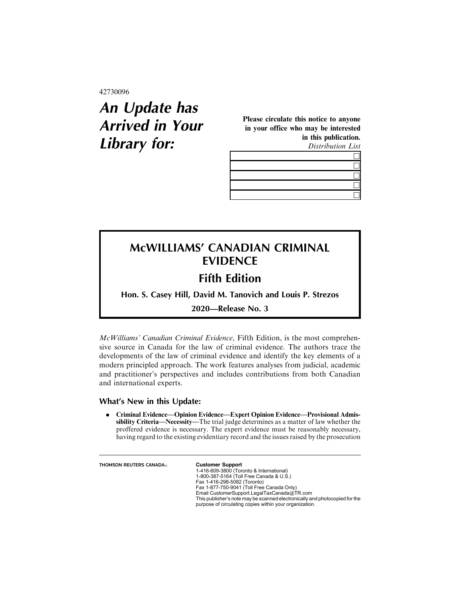42730096

# **An Update has Arrived in Your Library for:**

Please circulate this notice to anyone in your office who may be interested in this publication.

Distribution List

## **McWILLIAMS' CANADIAN CRIMINAL EVIDENCE**

## **Fifth Edition**

**Hon. S. Casey Hill, David M. Tanovich and Louis P. Strezos**

**2020—Release No. 3**

McWilliams' Canadian Criminal Evidence, Fifth Edition, is the most comprehensive source in Canada for the law of criminal evidence. The authors trace the developments of the law of criminal evidence and identify the key elements of a modern principled approach. The work features analyses from judicial, academic and practitioner's perspectives and includes contributions from both Canadian and international experts.

#### **What's New in this Update:**

. Criminal Evidence—Opinion Evidence—Expert Opinion Evidence—Provisional Admissibility Criteria—Necessity—The trial judge determines as a matter of law whether the proffered evidence is necessary. The expert evidence must be reasonably necessary, having regard to the existing evidentiary record and the issues raised by the prosecution

**THOMSON REUTERS CANADA**<sub>®</sub> **Customer Support** 

1-416-609-3800 (Toronto & International) 1-800-387-5164 (Toll Free Canada & U.S.) Fax 1-416-298-5082 (Toronto) Fax 1-877-750-9041 (Toll Free Canada Only) Email CustomerSupport.LegalTaxCanada@TR.com This publisher's note may be scanned electronically and photocopied for the purpose of circulating copies within your organization.